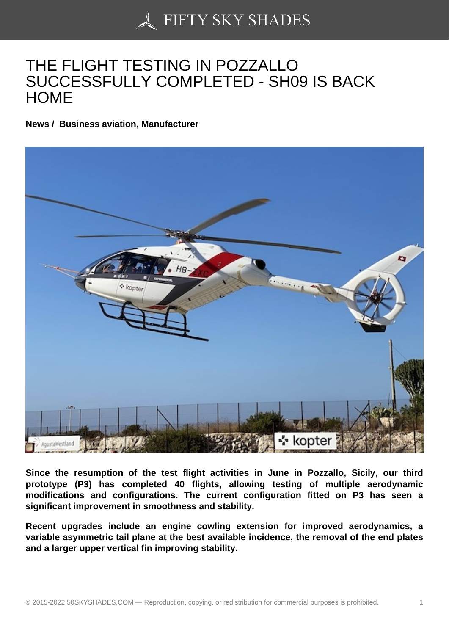## [THE FLIGHT TESTING](https://50skyshades.com) IN POZZALLO SUCCESSFULLY COMPLETED - SH09 IS BACK **HOME**

News / Business aviation, Manufacturer

Since the resumption of the test flight activities in June in Pozzallo, Sicily, our third prototype (P3) has completed 40 flights, allowing testing of multiple aerodynamic modifications and configurations. The current configuration fitted on P3 has seen a significant improvement in smoothness and stability.

Recent upgrades include an engine cowling extension for improved aerodynamics, a variable asymmetric tail plane at the best available incidence, the removal of the end plates and a larger upper vertical fin improving stability.